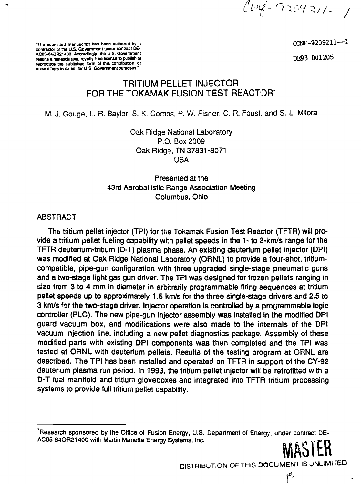$l$ enf-9209211--1

The submitted manuscript has been authored by a  $\text{CMF}-9209211 - ^1$ 

**contractor of the U.S. Government under contract DE-**AC05-84OR21400. Accordingly, the U.S. Government **retains a nonexclusive, royalty-free license to.publish or DE9 3 UUliiU D reproduce the published form of this contribution, or** allow others to  $\omega$  so, for U.S. Government purposes.

# **TRITIUM PELLET INJECTOR FOR THE TOKAMAK FUSION TEST REACTOR\***

M. J. Gouge, L. R. Baylor, S. K. Combs, P. W. Fisher, C. R. Foust, and S. L. Milora

Oak Ridge National Laboratory P.O. Box 2009 Oak Ridge, TN 37831-8071 USA

# Presented at the 43rd Aeroballistic Range Association Meeting Columbus, Ohio

### ABSTRACT

The tritium pellet injector (TPI) for the Tokamak Fusion Test Reactor (TFTR) will provide a tritium pellet fueling capability with pellet speeds in the 1- to 3-km/s range for the TFTR deuterium-tritium (D-T) plasma phase. An existing deuterium pellet injector (DPI) was modified at Oak Ridge National Laboratory (ORNL) to provide a four-shot, tritiumcompatible, pipe-gun configuration with three upgraded single-stage pneumatic guns and a two-stage light gas gun driver. The TPI was designed for frozen pellets ranging in size from 3 to 4 mm in diameter in arbitrarily programmable firing sequences at tritium pellet speeds up to approximately 1.5 km/s for the three single-stage drivers and 2.5 to 3 km/s \*or the two-stage driver. Injector operation is controlled by a programmable logic controller (PLC). The new pipe-gun injector assembly was installed in the modified DPI guard vacuum box, and modifications were also made to the internals of the DPI vacuum injection line, including a new pellet diagnostics package. Assembly of these modified parts with existing DPI components was then completed and the TPI was tested at ORNL with deuterium pellets. Results of the testing program at ORNL are described. The TPI has been installed and operated on TFTR in support of the CY-92 deuterium plasma run period. In 1993, the tritium pellet injector will be retrofitted with a D-T fuel manifold and tritium gloveboxes and integrated into TFTR tritium processing systems to provide full tritium pellet capability.

DISTRIBUTION OF THIS DOCUMENT IS UNLIMITED

**f**

<sup>&</sup>quot;Research sponsored by the Office of Fusion Energy, U.S. Department of Energy, under contract DE-AC05-84OR21400 with Martin Marietta Energy Systems, Inc.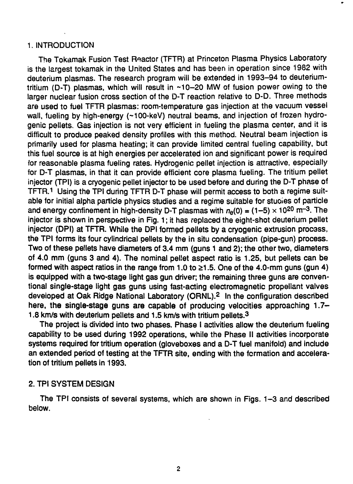#### 1. INTRODUCTION

The Tokamak Fusion Test Roactor (TFTR) at Princeton Plasma Physics Laboratory is the largest tokamak in the United States and has been in operation since 1982 with deuterium plasmas. The research program will be extended in 1993-94 to deuteriumtritium (D-T) plasmas, which will result in  $~10-20$  MW of fusion power owing to the larger nuclear fusion cross section of the D-T reaction relative to D-D. Three methods are used to fuel TFTR plasmas: room-temperature gas injection at the vacuum vessel wall, fueling by high-energy (~100-keV) neutral beams, and injection of frozen hydrogenic pellets. Gas injection is not very efficient in fueling the plasma center, and it is difficult to produce peaked density profiles with this method. Neutral beam injection is primarily used for plasma heating; it can provide limited central fueling capability, but this fuel source is at high energies per accelerated ion and significant power is required for reasonable plasma fueling rates. Hydrogenic pellet injection is attractive, especially for D-T plasmas, in that it can provide efficient core plasma fueling. The tritium pellet injector (TPI) is a cryogenic pellet injector to be used before and during the D-T phase of TFTR.<sup>1</sup> Using the TPI during TFTR D-T phase will permit access to both a regime suitable for initial alpha particle physics studies and a regime suitable for stuoies of particle and energy confinement in high-density D-T plasmas with  $n_e(0)$  = (1-5)  $\times$  10<sup>20</sup> m<sup>-3</sup>. The injector is shown in perspective in Fig. 1; it has replaced the eight-shot deuterium pellet injector (DPI) at TFTR. While the DPI formed pellets by a cryogenic extrusion procass, the TPI forms its four cylindrical pellets by the in situ condensation (pipe-gun) process. Two of these pellets have diameters of 3.4 mm (guns 1 and 2); the other two, diameters of 4.0 mm (guns 3 and 4). The nominal pellet aspect ratio is 1.25, but pellets can be formed with aspect ratios in the range from 1.0 to  $\geq$ 1.5. One of the 4.0-mm guns (gun 4) is equipped with a two-stage light gas gun driver; the remaining three guns are conventional single-stage light gas guns using fast-acting electromagnetic propellant valves developed at Oak Ridge National Laboratory (ORNL).<sup>2</sup> In the configuration described here, the single-stage guns are capable of producing velocities approaching 1.7-1.8 km/s with deuterium pellets and 1.5 km/s with tritium pellets.<sup>3</sup>

The project is divided into two phases. Phase I activities allow the deuterium fueling capability to be used during 1992 operations, while the Phase II activities incorporate systems required for tritium operation (gloveboxes and a D-T fuel manifold) and include an extended period of testing at the TFTR site, ending with the formation and acceleration of tritium pellets in 1993.

#### 2. TPI SYSTEM DESIGN

The TPI consists of several systems, which are shown in Figs. 1-3 and described below.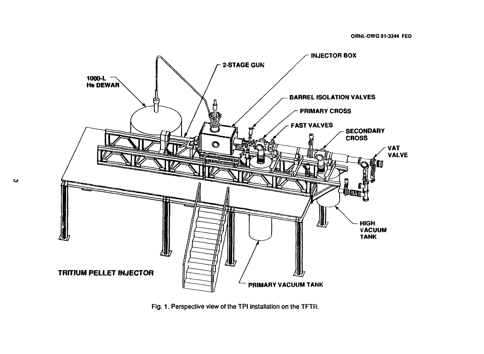

Fig. 1. Perspective view of the TPI installation on the TFTR.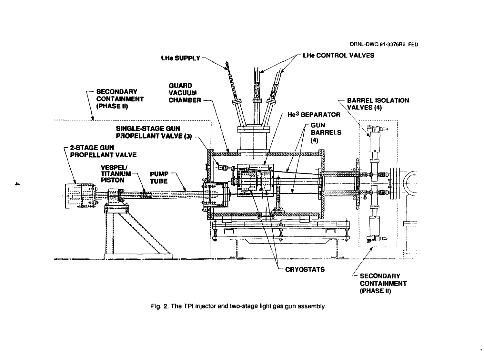$\bullet$ 



Fig. 2. The TPI injector and two-stage light gas gun assembly.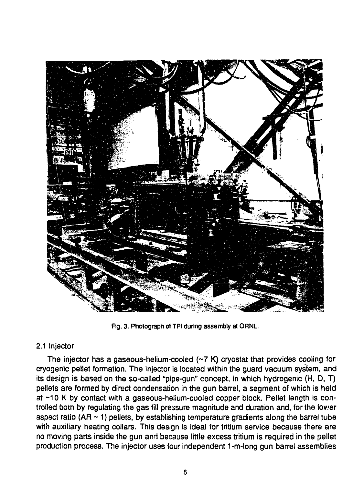

Fig. 3. Photograph of TPI during assembly at ORNL.

# 2.1 Injector

The injector has a gaseous-helium-cooled (~7 K) cryostat that provides cooling for cryogenic pellet formation. The injector is located within the guard vacuum system, and its design is based on the so-called "pipe-gun" concept, in which hydrogenic (H, D, T) pellets are formed by direct condensation in the gun barrel, a segment of which is held at ~10 K by contact with a gaseous-helium-cooied copper block. Pellet length is controlled both by regulating the gas fill pressure magnitude and duration and, for the lower aspect ratio (AR  $\sim$  1) pellets, by establishing temperature gradients along the barrel tube with auxiliary heating collars. This design is ideal for tritium service because there are no moving parts inside the gun and because little excess tritium is required in the pellet production process. The injector uses four independent 1-m-long gun barrel assemblies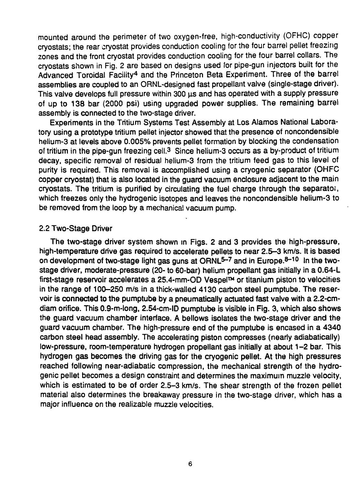mounted around the perimeter of two oxygen-free, high-conductivity (OFHC) copper cryostats; the rear cryostat provides conduction cooling for the four barrel pellet freezing zones and the front cryostat provides conduction cooling for the four barrel collars. The cryostats shown in Fig. 2 are based on designs used for pipe-gun injectors built for the Advanced Toroidal Facility<sup>4</sup> and the Princeton Beta Experiment. Three of the barrel assemblies are coupled to an ORNL-designed fast propellant valve (single-stage driver). This valve develops full pressure within 300 us and has operated with a supply pressure of up to 138 bar (2000 psi) using upgraded power supplies. The remaining barrel assembly is connected to the two-stage driver.

Experiments in the Tritium Systems Test Assembly at Los Alamos National Laboratory using a prototype tritium pellet injector showed that the presence of noncondensible helium-3 at levels above 0.005% prevents pellet formation by blocking the condensation of tritium in the pipe-gun freezing cell.<sup>3</sup> Since helium-3 occurs as a by-product of tritium decay, specific removal of residual helium-3 from the tritium feed gas to this levei of purity is required. This removal is accomplished using a cryogenic separator (OHFC copper cryostat) that is also located in the guard vacuum enclosure adjacent to the main cryostats. The tritium is purified by circulating the fuel charge through the separator, which freezes only the hydrogenic isotopes and leaves the noncondensible helium-3 to be removed from the loop by a mechanical vacuum pump.

#### 2.2 Two-Stage Driver

The two-stage driver system shown in Figs. 2 and 3 provides the high-pressure, high-temperature drive gas required to accelerate pellets to near 2.5-3 km/s. It is based on development of two-stage light gas guns at ORNL<sup>5-7</sup> and in Europe.<sup>8-10</sup> In the twostage driver, moderate-pressure (20- to 60-bar) helium propellant gas initially in a 0.64-L first-stage reservoir accelerates a 25.4-mm-OD Vespel™ or titanium piston to velocities in the range of 100-250 m/s in a thick-walled 4130 carbon steel pumptube. The reservoir is **connected to the** pumptube by a pneumatically actuated fast valve with a 2.2-cmdiam orifice. This 0.9-m-long, 2.54-cm-ID pumptube is visible in Fig. 3, which also shows the guard vacuum chamber interface. A bellows isolates the two-stage driver and the guard vacuum chamber. The high-pressure end of the pumptube is encased in a 4340 carbon steel head assembly. The accelerating piston compresses (nearly adiabatically) low-pressure, room-temperature hydrogen propellant gas initially at about 1-2 bar. This hydrogen gas becomes the driving gas for the cryogenic pellet. At the high pressures reached following near-adiabatic compression, the mechanical strength of the hydrogenic pellet becomes a design constraint and determines the maximum muzzle velocity, which is estimated to be of order 2.5-3 km/s. The shear strength of the frozen pellet material also determines the breakaway pressure in the two-stage driver, which has a major influence on the realizable muzzle velocities.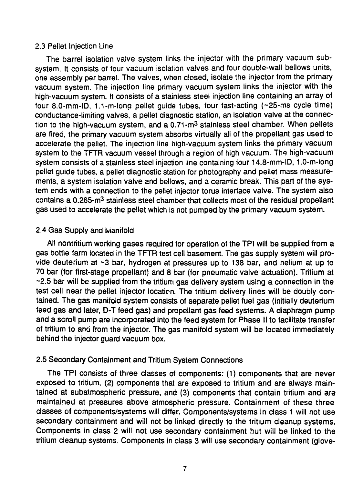#### 2.3 Pellet Injection Line

The barrel isolation valve system links the injector with the primary vacuum subsystem. It consists of four vacuum isolation valves and four double-wall bellows units, one assembly per barrel. The valves, when closed, isolate the injector from the primary vacuum system. The injection line primary vacuum system links the injector with the high-vacuum system. It consists of a stainless steel injection line containing an array of four 8.0-mm-ID, 1.1-m-lona, pellet guide tubes, four fast-acting (~25-ms cycle time) conductance-limiting valves, a pellet diagnostic station, an isolation valve at the connection to the high-vacuum system, and a 0.71-m<sup>3</sup> stainless steel chamber. When pellets are fired, the primary vacuum system absorbs virtually all of the propellant gas used to accelerate the pellet. The injection line high-vacuum system links the primary vacuum system to the TFTR vacuum vessel through a region of high vacuum. The high-vacuum system consists of a stainless steel injection line containing four 14.8-mm-ID, 1.0-m-long pellet guide tubes, a pellet diagnostic station for photography and pellet mass measurements, a system isolation valve and bellows, and a ceramic break. This part of the system ends with a connection to the pellet injector torus interface valve. The system also contains a 0.265-m<sup>3</sup> stainless steel chamber that collects most of the residual propellant gas used to accelerate the pellet which is not pumped by the primary vacuum system.

### 2.4 Gas Supply and Manifold

All nontritium working gases required for operation of the TPI will be supplied from a gas bottle farm located in the TFTR test cell basement. The gas supply system will provide deuterium at  $\sim$ 3 bar, hydrogen at pressures up to 138 bar, and helium at up to 70 bar (for first-stage propellant) and 8 bar (for pneumatic valve actuation). Tritium at ~2.5 bar will be supplied from the tritium gas delivery system using a connection in the test cell near the pellet injector location. The tritium delivery lines will be doubly contained. The gas manifold system consists of separate pellet fuel gas (initially deuterium feed gas and later, D-T feed gas) and propellant gas feed systems. A diaphragm pump and a scroll pump are incorporated into the feed system for Phase II to facilitate transfer of tritium to and from the injector. The gas manifold system will be located immediately behind the injector guard vacuum box.

# 2.5 Secondary Containment and Tritium System Connections

The TPI consists of three classes of components: (1) components that are never exposed to tritium, (2) components that are exposed to tritium and are always maintained at subatmospheric pressure, and (3) components that contain tritium and are maintained at pressures above atmospheric pressure. Containment of these three classes of components/systems will differ. Components/systems in class 1 will not use secondary containment and will not be linked directly to the tritium cleanup systems. Components in class 2 will not use secondary containment but will be linked to the tritium cleanup systems. Components in class 3 will use secondary containment (glove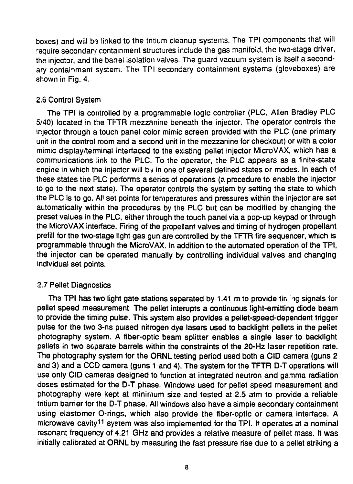boxes) and will be linked to the tritium cleanup systems. The TPI components that will require secondary containment structures include the gas manifoid, the two-stage driver, tha injector, and the barrel isolation valves. The guard vacuum system is itself a secondary containment system. The TPI secondary containment systems (gloveboxes) are shown in Fig. 4.

# 2.6 Control System

The TPI is controlled by a programmable logic controller (PLC, Allen Bradley PLC 5/40) located in the TFTR mezzanine beneath the injector. The operator controls the injector through a touch panel color mimic screen provided with the PLC (one primary unit in the control room and a second unit in the mezzanine for checkout) or with a color mimic display/terminal interfaced to the existing pellet injector MicroVAX, which has a communications link to the PLC. To the operator, the PLC appears as a finite-state engine in which the injector will by in one of several defined states or modes. In each of these states the PLC performs a series of operations (a procedure to enable the injector to go to the next state). The operator controls the system by setting the state to which the PLC is to go. AH set points for temperatures and pressures within the injector are set automatically within the procedures by the PLC but can be modified by changing the preset values in the PLC, either through the touch panel via a pop-up keypad or through the MicroVAX interface. Firing of the propellant valves and timing of hydrogen propellant prefill for the two-stage light gas gun are controlled by the TFTR fire sequencer, which is programmable through the MicroVAX. In addition to the automated operation of the TP!, the injector can be operated manually by controlling individual valves and changing individual set points.

# 2.7 Pellet Diagnostics

The TPI has two light gate stations separated by 1.41 m to provide tining signals for pellet speed measurement The pellet interupts a continuous light-emitting diode beam to provide the timing pulse. This system also provides a pellet-speed-dependent trigger pulse for the two 3-ns pulsed nitrogen dye lasers used to backlight pellets in the pellet photography system. A fiber-optic beam splitter enables a single laser to backlight pellets in two separate barrels within the constraints of the 20-Hz laser repetition rate. The photography system for the ORNL testing period used both a CID camera (guns 2 and 3) and a CCD camera (guns 1 and 4). The system for the TFTR D-T operations will use only CID cameras designed to function at integrated neutron and gamma radiation doses estimated for the D-T phase. Windows used for pellet speed measurement and photography were kept at minimum size and tested at 2.5 atm to provide a reliable tritium barrier for the D-T phase. All windows also have a simpie secondary containment using elastomer O-rings, which also provide the fiber-optic or camera interface. A microwave cavity<sup>11</sup> system was also implemented for the TPI. It operates at a nominal resonant frequency of 4.21 GHz and provides a relative measure of pellet mass. It was initially calibrated at ORNL by measuring the fast pressure rise due to a pellet striking a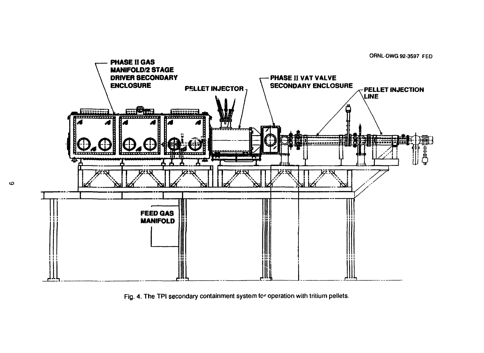

Fig. 4. The TPI secondary containment system for operation with tritium pellets.

 $\boldsymbol{\omega}$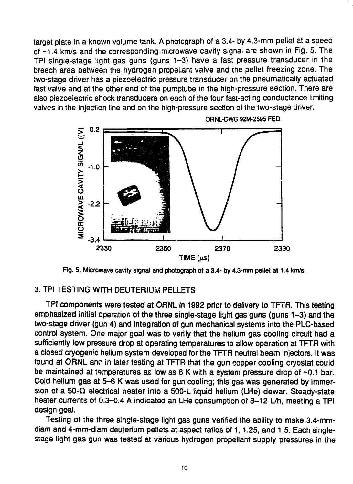target plate in a known volume tank. A photograph of a 3.4- by 4.3-mm pellet at a speed of ~1.4 km/s and the corresponding microwave cavity signal are shown in Fig. 5. The TPI single-stage light gas guns (guns 1-3) have a fast pressure transducer in the breech area between the hydrogen propeliant valve and the pellet freezing zone. The two-stage driver has a piezoelectric pressure transducer on the pneumatically actuated fast valve and at the other end of the pumptube in the high-pressure section. There are also piezoelectric shock transducers on each of the four fast-acting conductance limiting valves in the injection line and on the high-pressure section of the two-stage driver.



**ORNL-DWG 92M-2595 FED**

**Fig. 5. Microwave cavity signal and photograph of a 3.4- by 4.3-mm pellet at 1.4 km/s.**

#### 3. TPI TESTING WITH DEUTERIUM PELLETS

TPI components were tested at ORNL in 1992 prior to delivery to TFTR. This testing emphasized initial operation of the three single-stage light gas guns (guns 1-3) and the two-stage driver (gun 4) and integration of gun mechanical systems into the PLC-based control system. One major goal was to verify that the helium gas cooling circuit had a sufficiently low pressure drop at operating temperatures to allow operation at TFTR with a closed cryogenic helium system developed for the TFTR neutral beam injectors. It was found at ORNL and in later testing at TFTR that the gun copper cooling cryostat could be maintained at temperatures as low as  $8$  K with a system pressure drop of  $\sim 0.1$  bar. Cold helium gas at 5-6 K was used for gun cooling; this gas was generated by immersion of a 50- $\Omega$  electrical heater into a 500-L liquid helium (LHe) dewar. Steady-state heater currents of 0.3-0.4 A indicated an LHe consumption of 8-12 L/h, meeting a TPI design goal.

Testing of the three single-stage light gas guns verified the ability to make 3.4-mmdiam and 4-mm-diam deuterium pellets at aspect ratios of 1, 1.25, and 1.5. Each singlestage light gas gun was tested at various hydrogen propeliant supply pressures in the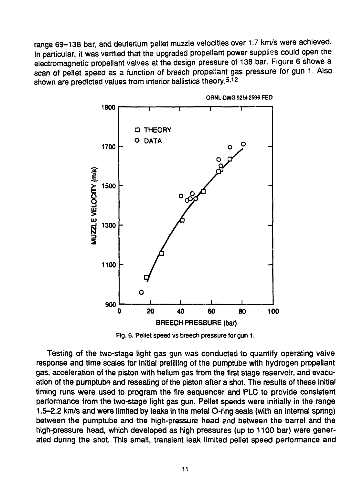range 69-138 bar, and deuterium pellet muzzle velocities over 1.7 km/s were achieved. In particular, it was verified that the upgraded propellant power supplies could open the electromagnetic propellant valves at the design pressure of 138 bar. Figure 6 shows a scan of pellet speed as a function of breech propellant gas pressure for gun 1. Also shown are predicted values from interior ballistics theory.<sup>5,12</sup>



**ORNL-OWQ 92M-2596 FED**

Fig. 6. Pellet speed vs breech pressure for gun 1.

Testing of the two-stage light gas gun was conducted to quantify operating valve response and time scales for initial prefilling of the pumptube with hydrogen propellant gas, acceleration of the piston with helium gas from the first stage reservoir, and evacuation of the pumptub® and reseating of the piston after a shot. The results of these initial timing runs were used to program the fire sequencer and PLC to provide consistent performance from the two-stage light gas gun. Pellet speeds were initially in the range 1.5-2.2 km/s and were limited by leaks in the metal O-ring seals (with an internal spring) between the pumptube and the high-pressure head and between the barrel and the high-pressure head, which developed as high pressures (up to 1100 bar) were generated during the shot. This small, transient leak limited pellet speed performance and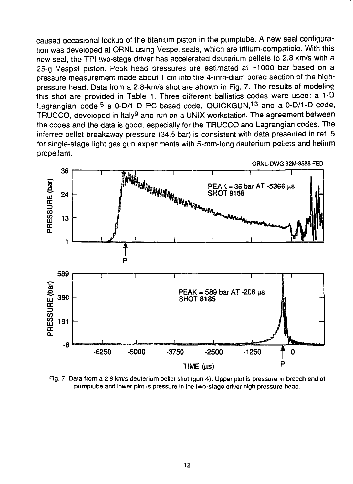caused occasional lockup of the titanium piston in the pumptube. A new seal configuration was developed at ORNL using Vespel seals, which are tritium-compatible. With this new seal, the TPI two-stage driver has accelerated deuterium pellets to 2.8 km/s with a 25-g Vespel piston. Peak head pressures are estimated at ~1000 bar based on a pressure measurement made about 1 cm into the 4-mm-diam bored section of the highpressure head. Data from a 2.8-km/s shot are shown in Fig. 7. The results of modeling this shot are provided in Table 1. Three different ballistics codes were used: a 1-D Lagrangian code,<sup>5</sup> a 0-D/1-D PC-based code, QUICKGUN,<sup>13</sup> and a 0-D/1-D code, TRUCCO, developed in Italy<sup>9</sup> and run on a UNIX workstation. The agreement between the codes and the data is good, especially for the TRUCCO and Lagrangian codes. The inferred pellet breakaway pressure (34.5 bar) is consistent with data presented in ref. 5 for single-stage light gas gun experiments with 5-mm-long deuterium pellets and helium propellant.



Fig. 7. Data from a 2.8 km/s deuterium pellet shot (gun 4). Upper plot is pressure in breech end of pumptube and lower plot is pressure in the two-stage driver high pressure head.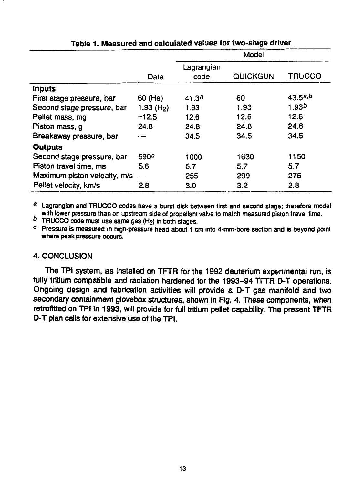|                              |                        |                   | Model    |                   |
|------------------------------|------------------------|-------------------|----------|-------------------|
|                              |                        | Lagrangian        |          |                   |
|                              | Data                   | code              | QUICKGUN | <b>TRUCCO</b>     |
| Inputs                       |                        |                   |          |                   |
| First stage pressure, bar    | 60 (He)                | 41.3 <sup>a</sup> | 60       | 43.5a,b           |
| Second stage pressure, bar   | 1.93 (H <sub>2</sub> ) | 1.93              | 1.93     | 1.93 <sup>b</sup> |
| Pellet mass, mg              | ~12.5                  | 12.6              | 12.6     | 12.6              |
| Piston mass, g               | 24.8                   | 24.8              | 24.8     | 24.8              |
| Breakaway pressure, bar      |                        | 34.5              | 34.5     | 34.5              |
| Outputs                      |                        |                   |          |                   |
| Second stage pressure, bar   | 590 <sup>c</sup>       | 1000              | 1630     | 1150              |
| Piston travel time, ms       | 5.6                    | 5.7               | 5.7      | 5.7               |
| Maximum piston velocity, m/s |                        | 255               | 299      | 275               |
| Pellet velocity, km/s        | 2.8                    | 3.0               | 3.2      | 2.8               |

# Table 1. Measured and calculated values for two-stage driver

<sup>a</sup> Lagrangian and TRUCCO codes have a burst disk between first and second stage; therefore model with lower pressure than on upstream side of propellant valve to match measured piston travel time.

 $b$  TRUCCO code must use same gas (H<sub>2</sub>) in both stages.

c Pressure is measured in high-pressure head about 1 cm into 4-mm-bore section and is beyond point **where** peak **pressure** occurs.

# 4. CONCLUSION

The TPI system, as installed on TFTR for the 1992 deuterium experimental run, is fully tritium compatible and radiation hardened for the 1993-94 TFTR D-T operations. Ongoing design and fabrication activities will provide a D-T gas manifold and two secondary containment glovebox structures, shown in Fig. 4. These components, when retrofitted on TPI in 1993, will provide for full tritium pellet capability. The present TFTR D-T plan calls for extensive use of the TPI.